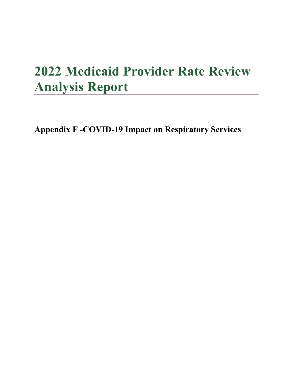# **2022 Medicaid Provider Rate Review Analysis Report** <u> 1980 - Johann Barbara, martxa a</u>

**Appendix F -COVID-19 Impact on Respiratory Services**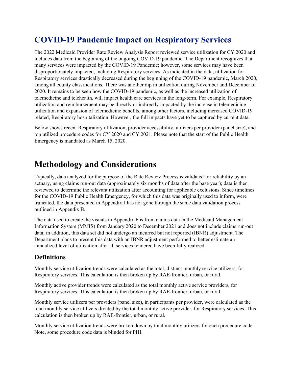# **COVID-19 Pandemic Impact on Respiratory Services**

The 2022 Medicaid Provider Rate Review Analysis Report reviewed service utilization for CY 2020 and includes data from the beginning of the ongoing COVID-19 pandemic. The Department recognizes that many services were impacted by the COVID-19 Pandemic; however, some services may have been disproportionately impacted, including Respiratory services. As indicated in the data, utilization for Respiratory services drastically decreased during the beginning of the COVID-19 pandemic, March 2020, among all county classifications. There was another dip in utilization during November and December of 2020. It remains to be seen how the COVID-19 pandemic, as well as the increased utilization of telemedicine and telehealth, will impact health care services in the long-term. For example, Respiratory utilization and reimbursement may be directly or indirectly impacted by the increase in telemedicine utilization and expansion of telemedicine benefits, among other factors, including increased COVID-19 related, Respiratory hospitalization. However, the full impacts have yet to be captured by current data.

Below shows recent Respiratory utilization, provider accessibility, utilizers per provider (panel size), and top utilized procedure codes for CY 2020 and CY 2021. Please note that the start of the Public Health Emergency is mandated as March 15, 2020.

# **Methodology and Considerations**

Typically, data analyzed for the purpose of the Rate Review Process is validated for reliability by an actuary, using claims run-out data (approximately six months of data after the base year); data is then reviewed to determine the relevant utilization after accounting for applicable exclusions. Since timelines for the COVID-19 Public Health Emergency, for which this data was originally used to inform, were truncated, the data presented in Appendix J has not gone through the same data validation process outlined in Appendix B.

The data used to create the visuals in Appendix F is from claims data in the Medicaid Management Information System (MMIS) from January 2020 to December 2021 and does not include claims run-out data; in addition, this data set did not undergo an incurred but not reported (IBNR) adjustment. The Department plans to present this data with an IBNR adjustment performed to better estimate an annualized level of utilization after all services rendered have been fully realized.

#### **Definitions**

Monthly service utilization trends were calculated as the total, distinct monthly service utilizers, for Respiratory services. This calculation is then broken up by RAE-frontier, urban, or rural.

Monthly active provider trends were calculated as the total monthly active service providers, for Respiratory services. This calculation is then broken up by RAE-frontier, urban, or rural.

Monthly service utilizers per providers (panel size), in participants per provider, were calculated as the total monthly service utilizers divided by the total monthly active provider, for Respiratory services. This calculation is then broken up by RAE-frontier, urban, or rural.

Monthly service utilization trends were broken down by total monthly utilizers for each procedure code. Note, some procedure code data is blinded for PHI.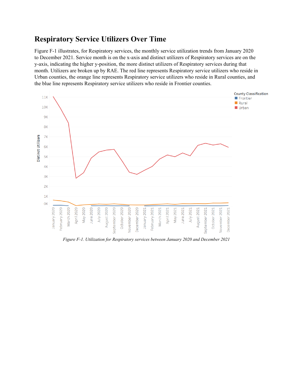# **Respiratory Service Utilizers Over Time**

Figure F-1 illustrates, for Respiratory services, the monthly service utilization trends from January 2020 to December 2021. Service month is on the x-axis and distinct utilizers of Respiratory services are on the y-axis, indicating the higher y-position, the more distinct utilizers of Respiratory services during that month. Utilizers are broken up by RAE. The red line represents Respiratory service utilizers who reside in Urban counties, the orange line represents Respiratory service utilizers who reside in Rural counties, and the blue line represents Respiratory service utilizers who reside in Frontier counties.



*Figure F-1. Utilization for Respiratory services between January 2020 and December 2021*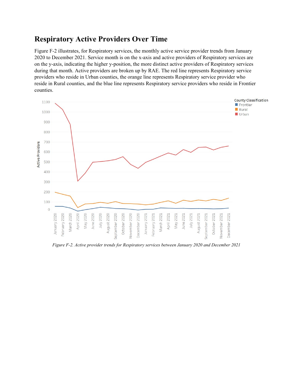### **Respiratory Active Providers Over Time**

Figure F-2 illustrates, for Respiratory services, the monthly active service provider trends from January 2020 to December 2021. Service month is on the x-axis and active providers of Respiratory services are on the y-axis, indicating the higher y-position, the more distinct active providers of Respiratory services during that month. Active providers are broken up by RAE. The red line represents Respiratory service providers who reside in Urban counties, the orange line represents Respiratory service provider who reside in Rural counties, and the blue line represents Respiratory service providers who reside in Frontier counties.



*Figure F-2. Active provider trends for Respiratory services between January 2020 and December 2021*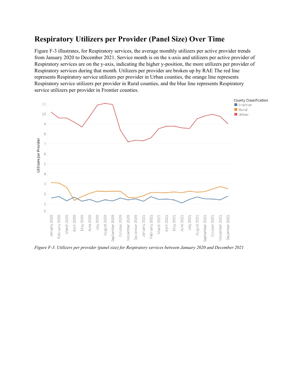### **Respiratory Utilizers per Provider (Panel Size) Over Time**

Figure F-3 illustrates, for Respiratory services, the average monthly utilizers per active provider trends from January 2020 to December 2021. Service month is on the x-axis and utilizers per active provider of Respiratory services are on the y-axis, indicating the higher y-position, the more utilizers per provider of Respiratory services during that month. Utilizers per provider are broken up by RAE The red line represents Respiratory service utilizers per provider in Urban counties, the orange line represents Respiratory service utilizers per provider in Rural counties, and the blue line represents Respiratory service utilizers per provider in Frontier counties.



*Figure F-3. Utilizers per provider (panel size) for Respiratory services between January 2020 and December 2021*